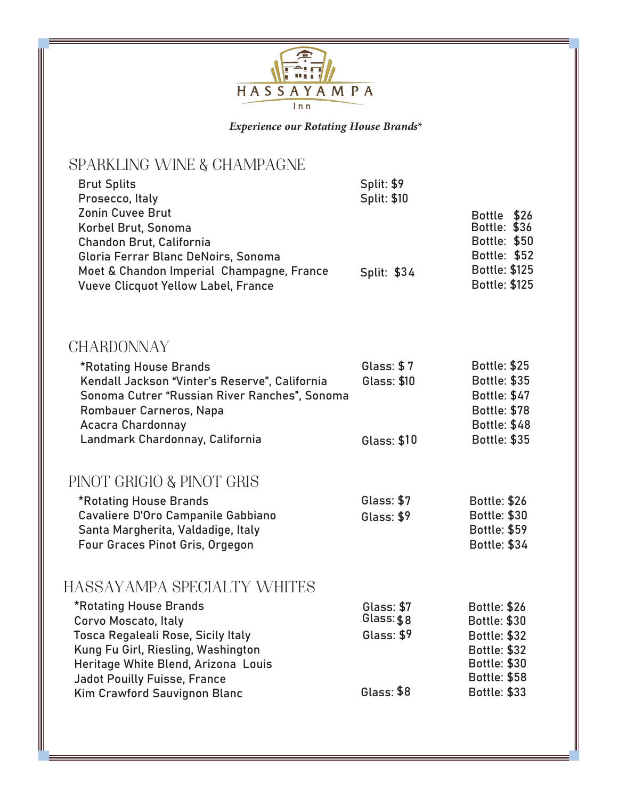

*Experience our Rotating House Brands\**

## SPARKLING WINE & CHAMPAGNE

| <b>Brut Splits</b><br>Prosecco, Italy<br><b>Zonin Cuvee Brut</b><br>Korbel Brut, Sonoma<br>Chandon Brut, California            | <b>Split: \$9</b><br><b>Split: \$10</b> | Bottle \$26<br><b>Bottle: \$36</b><br><b>Bottle: \$50</b>           |
|--------------------------------------------------------------------------------------------------------------------------------|-----------------------------------------|---------------------------------------------------------------------|
| Gloria Ferrar Blanc DeNoirs, Sonoma<br>Moet & Chandon Imperial Champagne, France<br><b>Vueve Clicquot Yellow Label, France</b> | Split: \$34                             | <b>Bottle: \$52</b><br><b>Bottle: \$125</b><br><b>Bottle: \$125</b> |
| <b>CHARDONNAY</b>                                                                                                              |                                         |                                                                     |
| *Rotating House Brands                                                                                                         | <b>Glass: \$7</b>                       | <b>Bottle: \$25</b>                                                 |
| Kendall Jackson "Vinter's Reserve", California<br>Sonoma Cutrer "Russian River Ranches", Sonoma                                | <b>Glass: \$10</b>                      | <b>Bottle: \$35</b><br><b>Bottle: \$47</b>                          |
| Rombauer Carneros, Napa                                                                                                        |                                         | <b>Bottle: \$78</b>                                                 |
| <b>Acacra Chardonnay</b><br>Landmark Chardonnay, California                                                                    | <b>Glass: \$10</b>                      | <b>Bottle: \$48</b><br><b>Bottle: \$35</b>                          |
|                                                                                                                                |                                         |                                                                     |
| PINOT GRIGIO & PINOT GRIS                                                                                                      |                                         |                                                                     |
| *Rotating House Brands                                                                                                         | Glass: \$7                              | <b>Bottle: \$26</b>                                                 |
| Cavaliere D'Oro Campanile Gabbiano<br>Santa Margherita, Valdadige, Italy                                                       | Glass: \$9                              | <b>Bottle: \$30</b><br><b>Bottle: \$59</b>                          |
| Four Graces Pinot Gris, Orgegon                                                                                                |                                         | <b>Bottle: \$34</b>                                                 |
| HASSAYAMPA SPECIALTY WHITES                                                                                                    |                                         |                                                                     |
| *Rotating House Brands                                                                                                         | Glass: \$7                              | <b>Bottle: \$26</b>                                                 |
| Corvo Moscato, Italy<br>Tosca Regaleali Rose. Sicily Italv                                                                     | Glass: \$8<br>Glass: \$9                | <b>Bottle: \$30</b><br>Bottle: \$32                                 |

| Tosca Regaleali Rose, Sicily Italy  | Glass: \$9 | <b>Bottle: \$32</b> |
|-------------------------------------|------------|---------------------|
| Kung Fu Girl, Riesling, Washington  |            | <b>Bottle: \$32</b> |
| Heritage White Blend, Arizona Louis |            | <b>Bottle: \$30</b> |
| Jadot Pouilly Fuisse, France        |            | <b>Bottle: \$58</b> |
| Kim Crawford Sauvignon Blanc        | Glass: \$8 | <b>Bottle: \$33</b> |